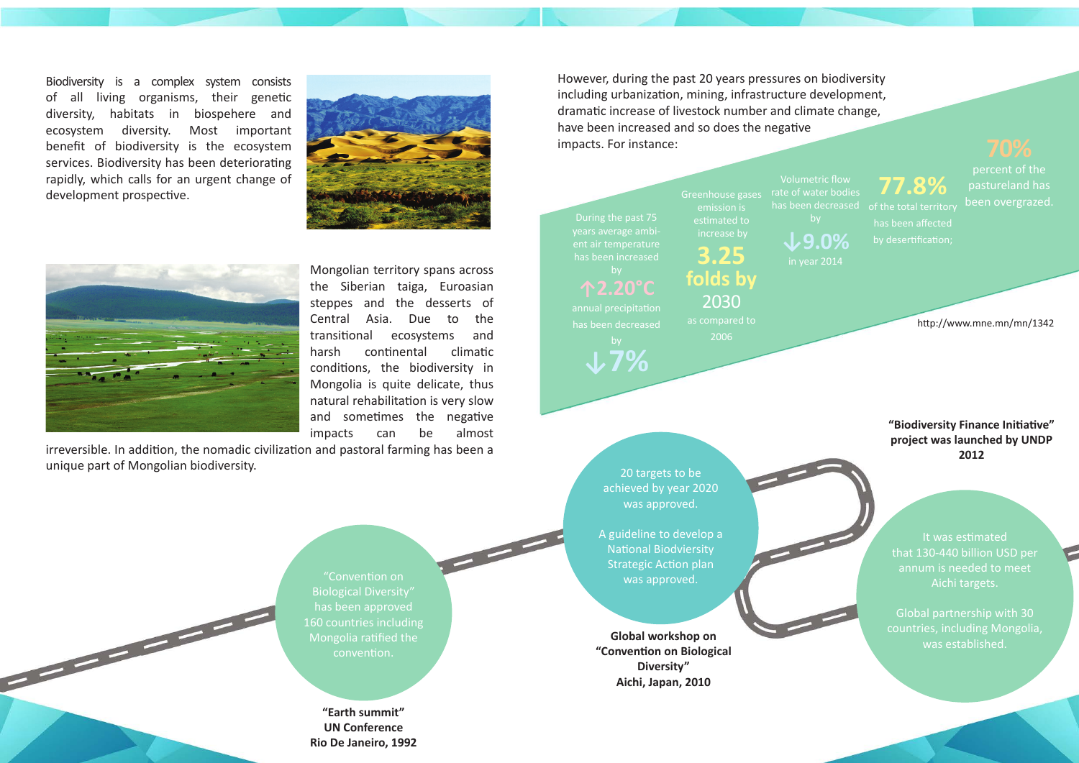**"Earth summit" UN Conference Rio De Janeiro, 1992**

Biodiversity is a complex system consists of all living organisms, their genetic diversity, habitats in biospehere and ecosystem diversity. Most important benefit of biodiversity is the ecosystem services. Biodiversity has been deteriorating rapidly, which calls for an urgent change of development prospective.





years average ambient air temperature has been increased

## **↑2.20°С** annual precipitation

has been decreased

**↓7%**

Greenhouse gases emission is estimated to increase by

**3.25**

**folds by**

2030 as compared to 2006

Volumetric flow rate of water bodies

**↓9.0%**

**77.8%**

Global workshop on **Global workshop on Global workshop** on **a was established**. **"Convention on Biological Diversity" Aichi, Japan, 2010**

has been affected

percent of the pastureland has been overgrazed.

However, during the past 20 years pressures on biodiversity including urbanization, mining, infrastructure development, dramatic increase of livestock number and climate change, have been increased and so does the negative impacts. For instance:

> 20 targets to be achieved by year 2020 was approved.

A guideline to develop a National Biodviersity Strategic Action plan was approved.

It was estimated that 130-440 billion USD per annum is needed to meet Aichi targets.

Global partnership with 30 countries, including Mongolia,

**"Biodiversity Finance Initiative" project was launched by UNDP 2012**

Mongolian territory spans across the Siberian taiga, Euroasian steppes and the desserts of Central Asia. Due to the transitional ecosystems and harsh continental climatic conditions, the biodiversity in Mongolia is quite delicate, thus natural rehabilitation is very slow and sometimes the negative impacts can be almost

irreversible. In addition, the nomadic civilization and pastoral farming has been a unique part of Mongolian biodiversity.

> "Convention on Biological Diversity" has been approved 160 countries including Mongolia ratified the convention.

http://www.mne.mn/mn/1342